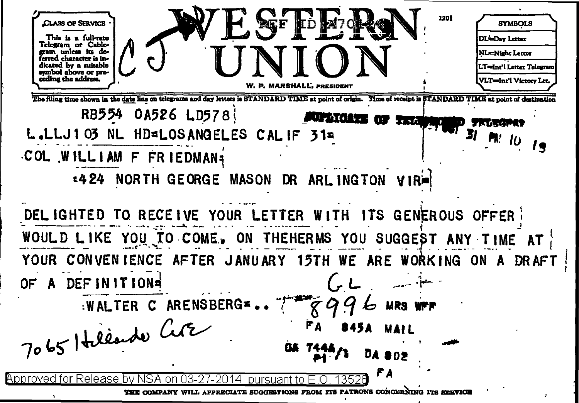